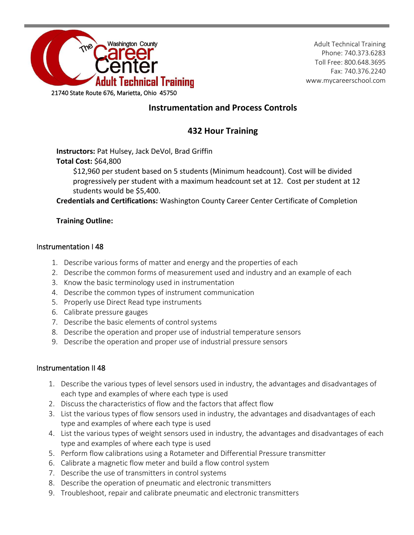

## **Instrumentation and Process Controls**

# **432 Hour Training**

**Instructors:** Pat Hulsey, Jack DeVol, Brad Griffin

### **Total Cost:** \$64,800

\$12,960 per student based on 5 students (Minimum headcount). Cost will be divided progressively per student with a maximum headcount set at 12. Cost per student at 12 students would be \$5,400.

**Credentials and Certifications:** Washington County Career Center Certificate of Completion

### **Training Outline:**

### Instrumentation I 48

- 1. Describe various forms of matter and energy and the properties of each
- 2. Describe the common forms of measurement used and industry and an example of each
- 3. Know the basic terminology used in instrumentation
- 4. Describe the common types of instrument communication
- 5. Properly use Direct Read type instruments
- 6. Calibrate pressure gauges
- 7. Describe the basic elements of control systems
- 8. Describe the operation and proper use of industrial temperature sensors
- 9. Describe the operation and proper use of industrial pressure sensors

### Instrumentation II 48

- 1. Describe the various types of level sensors used in industry, the advantages and disadvantages of each type and examples of where each type is used
- 2. Discuss the characteristics of flow and the factors that affect flow
- 3. List the various types of flow sensors used in industry, the advantages and disadvantages of each type and examples of where each type is used
- 4. List the various types of weight sensors used in industry, the advantages and disadvantages of each type and examples of where each type is used
- 5. Perform flow calibrations using a Rotameter and Differential Pressure transmitter
- 6. Calibrate a magnetic flow meter and build a flow control system
- 7. Describe the use of transmitters in control systems
- 8. Describe the operation of pneumatic and electronic transmitters
- 9. Troubleshoot, repair and calibrate pneumatic and electronic transmitters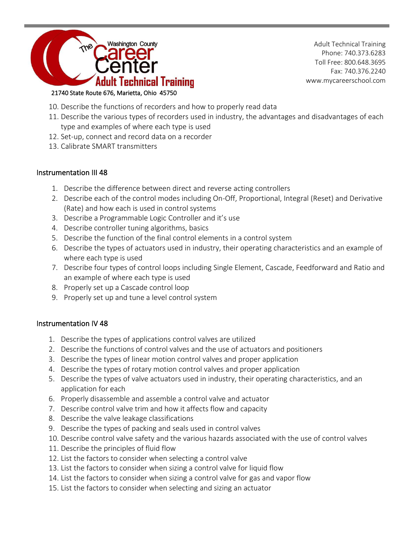

### 21740 State Route 676, Marietta, Ohio 45750

- 10. Describe the functions of recorders and how to properly read data
- 11. Describe the various types of recorders used in industry, the advantages and disadvantages of each type and examples of where each type is used
- 12. Set-up, connect and record data on a recorder
- 13. Calibrate SMART transmitters

### Instrumentation III 48

- 1. Describe the difference between direct and reverse acting controllers
- 2. Describe each of the control modes including On-Off, Proportional, Integral (Reset) and Derivative (Rate) and how each is used in control systems
- 3. Describe a Programmable Logic Controller and it's use
- 4. Describe controller tuning algorithms, basics
- 5. Describe the function of the final control elements in a control system
- 6. Describe the types of actuators used in industry, their operating characteristics and an example of where each type is used
- 7. Describe four types of control loops including Single Element, Cascade, Feedforward and Ratio and an example of where each type is used
- 8. Properly set up a Cascade control loop
- 9. Properly set up and tune a level control system

### Instrumentation IV 48

- 1. Describe the types of applications control valves are utilized
- 2. Describe the functions of control valves and the use of actuators and positioners
- 3. Describe the types of linear motion control valves and proper application
- 4. Describe the types of rotary motion control valves and proper application
- 5. Describe the types of valve actuators used in industry, their operating characteristics, and an application for each
- 6. Properly disassemble and assemble a control valve and actuator
- 7. Describe control valve trim and how it affects flow and capacity
- 8. Describe the valve leakage classifications
- 9. Describe the types of packing and seals used in control valves
- 10. Describe control valve safety and the various hazards associated with the use of control valves
- 11. Describe the principles of fluid flow
- 12. List the factors to consider when selecting a control valve
- 13. List the factors to consider when sizing a control valve for liquid flow
- 14. List the factors to consider when sizing a control valve for gas and vapor flow
- 15. List the factors to consider when selecting and sizing an actuator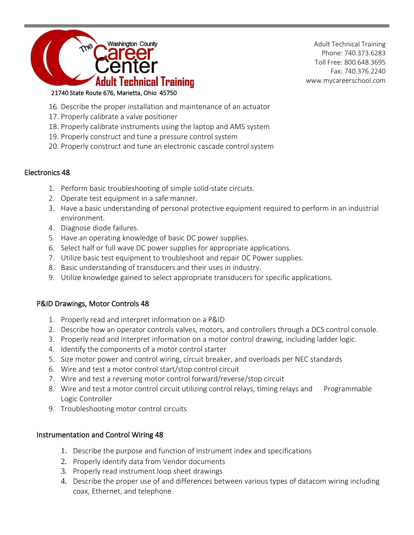

- 16. Describe the proper installation and maintenance of an actuator
- 17. Properly calibrate a valve positioner
- 18. Properly calibrate instruments using the laptop and AMS system
- 19. Properly construct and tune a pressure control system
- 20. Properly construct and tune an electronic cascade control system

#### Electronics 48

- 1. Perform basic troubleshooting of simple solid-state circuits.
- 2. Operate test equipment in a safe manner.
- 3. Have a basic understanding of personal protective equipment required to perform in an industrial environment.
- 4. Diagnose diode failures.
- 5. Have an operating knowledge of basic DC power supplies.
- 6. Select half or full wave DC power supplies for appropriate applications.
- 7. Utilize basic test equipment to troubleshoot and repair DC Power supplies.
- 8. Basic understanding of transducers and their uses in industry.
- 9. Utilize knowledge gained to select appropriate transducers for specific applications.

### P&ID Drawings, Motor Controls 48

- 1. Properly read and interpret information on a P&ID
- 2. Describe how an operator controls valves, motors, and controllers through a DCS control console.
- 3. Properly read and interpret information on a motor control drawing, including ladder logic.
- 4. Identify the components of a motor control starter
- 5. Size motor power and control wiring, circuit breaker, and overloads per NEC standards
- 6. Wire and test a motor control start/stop control circuit
- 7. Wire and test a reversing motor control forward/reverse/stop circuit
- 8. Wire and test a motor control circuit utilizing control relays, timing relays and Programmable Logic Controller
- 9. Troubleshooting motor control circuits

### Instrumentation and Control Wiring 48

- 1. Describe the purpose and function of instrument index and specifications
- 2. Properly identify data from Vendor documents
- 3. Properly read instrument loop sheet drawings
- 4. Describe the proper use of and differences between various types of datacom wiring including coax, Ethernet, and telephone